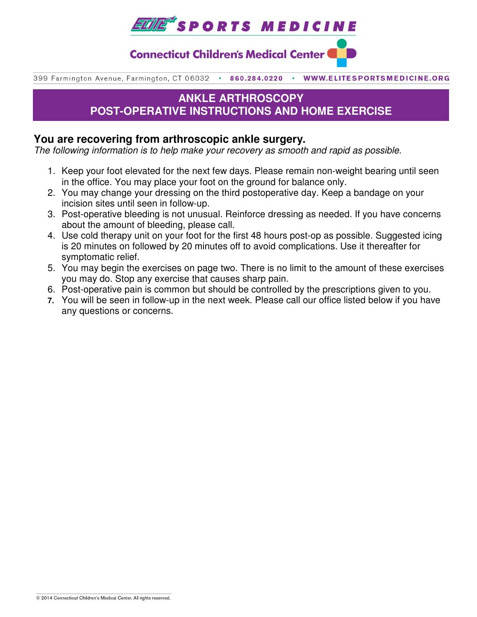

**Connecticut Children's Medical Center** 

399 Farmington Avenue, Farmington, CT 06032 . 860.284.0220 WWW.ELITESPORTSMEDICINE.ORG

# **ANKLE ARTHROSCOPY POST-OPERATIVE INSTRUCTIONS AND HOME EXERCISE**

## **You are recovering from arthroscopic ankle surgery.**

The following information is to help make your recovery as smooth and rapid as possible.

- 1. Keep your foot elevated for the next few days. Please remain non-weight bearing until seen in the office. You may place your foot on the ground for balance only.
- 2. You may change your dressing on the third postoperative day. Keep a bandage on your incision sites until seen in follow-up.
- 3. Post-operative bleeding is not unusual. Reinforce dressing as needed. If you have concerns about the amount of bleeding, please call.
- 4. Use cold therapy unit on your foot for the first 48 hours post-op as possible. Suggested icing is 20 minutes on followed by 20 minutes off to avoid complications. Use it thereafter for symptomatic relief.
- 5. You may begin the exercises on page two. There is no limit to the amount of these exercises you may do. Stop any exercise that causes sharp pain.
- 6. Post-operative pain is common but should be controlled by the prescriptions given to you.
- **7.** You will be seen in follow-up in the next week. Please call our office listed below if you have any questions or concerns.